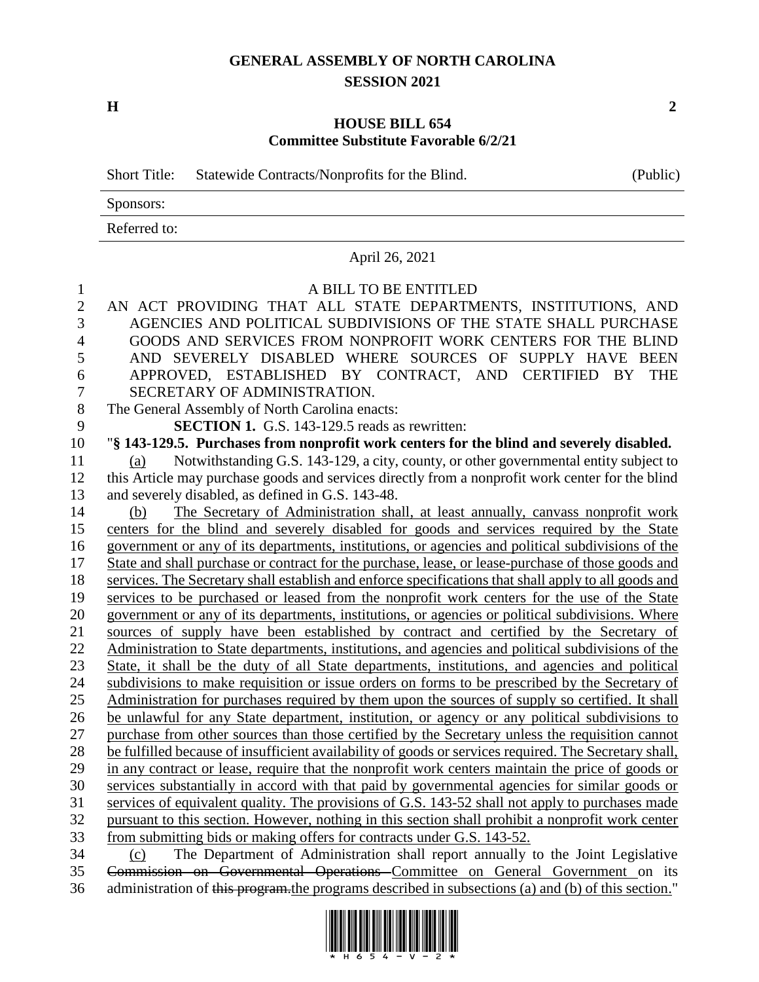## **GENERAL ASSEMBLY OF NORTH CAROLINA SESSION 2021**

**H 2**

## **HOUSE BILL 654 Committee Substitute Favorable 6/2/21**

Short Title: Statewide Contracts/Nonprofits for the Blind. (Public) Sponsors: Referred to:

April 26, 2021

## A BILL TO BE ENTITLED AN ACT PROVIDING THAT ALL STATE DEPARTMENTS, INSTITUTIONS, AND AGENCIES AND POLITICAL SUBDIVISIONS OF THE STATE SHALL PURCHASE GOODS AND SERVICES FROM NONPROFIT WORK CENTERS FOR THE BLIND AND SEVERELY DISABLED WHERE SOURCES OF SUPPLY HAVE BEEN APPROVED, ESTABLISHED BY CONTRACT, AND CERTIFIED BY THE SECRETARY OF ADMINISTRATION. The General Assembly of North Carolina enacts: **SECTION 1.** G.S. 143-129.5 reads as rewritten: "**§ 143-129.5. Purchases from nonprofit work centers for the blind and severely disabled.** (a) Notwithstanding G.S. 143-129, a city, county, or other governmental entity subject to this Article may purchase goods and services directly from a nonprofit work center for the blind and severely disabled, as defined in G.S. 143-48. (b) The Secretary of Administration shall, at least annually, canvass nonprofit work centers for the blind and severely disabled for goods and services required by the State government or any of its departments, institutions, or agencies and political subdivisions of the State and shall purchase or contract for the purchase, lease, or lease-purchase of those goods and services. The Secretary shall establish and enforce specifications that shall apply to all goods and services to be purchased or leased from the nonprofit work centers for the use of the State government or any of its departments, institutions, or agencies or political subdivisions. Where sources of supply have been established by contract and certified by the Secretary of Administration to State departments, institutions, and agencies and political subdivisions of the State, it shall be the duty of all State departments, institutions, and agencies and political subdivisions to make requisition or issue orders on forms to be prescribed by the Secretary of Administration for purchases required by them upon the sources of supply so certified. It shall be unlawful for any State department, institution, or agency or any political subdivisions to purchase from other sources than those certified by the Secretary unless the requisition cannot be fulfilled because of insufficient availability of goods or services required. The Secretary shall, in any contract or lease, require that the nonprofit work centers maintain the price of goods or services substantially in accord with that paid by governmental agencies for similar goods or services of equivalent quality. The provisions of G.S. 143-52 shall not apply to purchases made pursuant to this section. However, nothing in this section shall prohibit a nonprofit work center from submitting bids or making offers for contracts under G.S. 143-52. (c) The Department of Administration shall report annually to the Joint Legislative Commission on Governmental Operations Committee on General Government on its



36 administration of this program. the programs described in subsections (a) and (b) of this section."